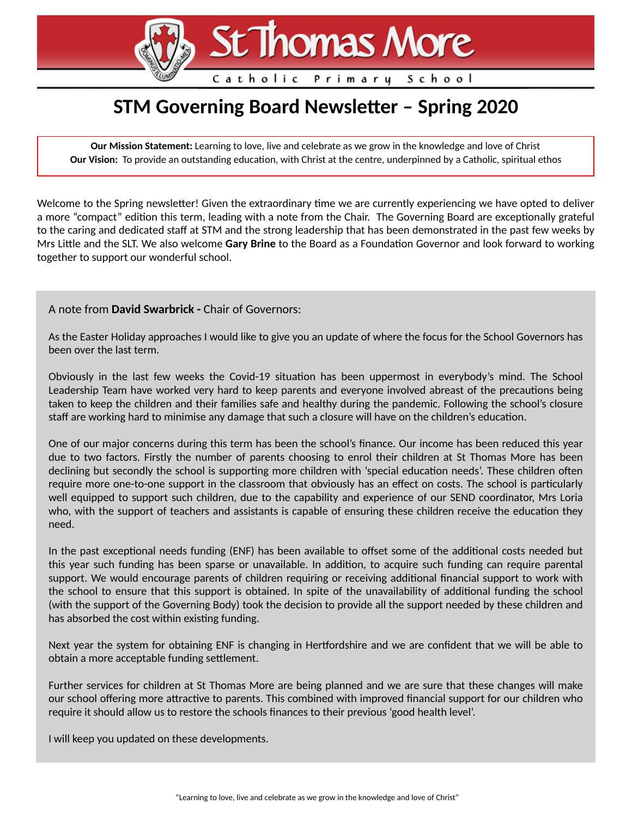## **STM Governing Board Newsletter - Spring 2020**

**St Thomas More** 

Catholic Primary School

**Our Mission Statement:** Learning to love, live and celebrate as we grow in the knowledge and love of Christ **Our Vision:** To provide an outstanding education, with Christ at the centre, underpinned by a Catholic, spiritual ethos

Welcome to the Spring newsletter! Given the extraordinary time we are currently experiencing we have opted to deliver a more "compact" edition this term, leading with a note from the Chair. The Governing Board are exceptionally grateful to the caring and dedicated staff at STM and the strong leadership that has been demonstrated in the past few weeks by Mrs Little and the SLT. We also welcome Gary Brine to the Board as a Foundation Governor and look forward to working together to support our wonderful school.

## A note from **David Swarbrick -** Chair of Governors:

As the Easter Holiday approaches I would like to give you an update of where the focus for the School Governors has been over the last term.

Obviously in the last few weeks the Covid-19 situation has been uppermost in everybody's mind. The School Leadership Team have worked very hard to keep parents and everyone involved abreast of the precautions being taken to keep the children and their families safe and healthy during the pandemic. Following the school's closure staff are working hard to minimise any damage that such a closure will have on the children's education.

One of our major concerns during this term has been the school's finance. Our income has been reduced this year due to two factors. Firstly the number of parents choosing to enrol their children at St Thomas More has been declining but secondly the school is supporting more children with 'special education needs'. These children often require more one-to-one support in the classroom that obviously has an effect on costs. The school is particularly well equipped to support such children, due to the capability and experience of our SEND coordinator, Mrs Loria who, with the support of teachers and assistants is capable of ensuring these children receive the education they need.

In the past exceptional needs funding (ENF) has been available to offset some of the additional costs needed but this year such funding has been sparse or unavailable. In addition, to acquire such funding can require parental support. We would encourage parents of children requiring or receiving additional financial support to work with the school to ensure that this support is obtained. In spite of the unavailability of additional funding the school (with the support of the Governing Body) took the decision to provide all the support needed by these children and has absorbed the cost within existing funding.

Next year the system for obtaining ENF is changing in Hertfordshire and we are confident that we will be able to obtain a more acceptable funding settlement.

Further services for children at St Thomas More are being planned and we are sure that these changes will make our school offering more attractive to parents. This combined with improved financial support for our children who require it should allow us to restore the schools finances to their previous 'good health level'.

I will keep you updated on these developments.